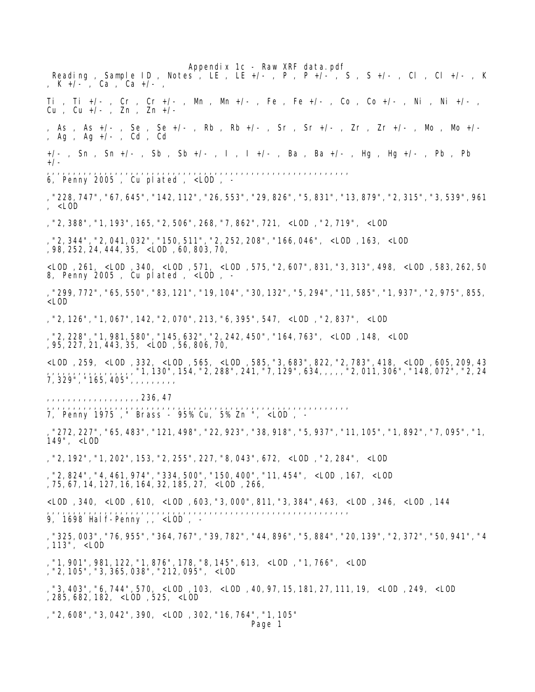Appendix 1c - Raw XRF data.pdf Reading, Sample ID, Notes, LE, LE +/-, P, P +/-, S, S +/-, Cl, Cl +/-, K , K +/- , Ca , Ca +/- , Ti , Ti +/- , Cr , Cr +/- , Mn , Mn +/- , Fe , Fe +/- , Co , Co +/- , Ni , Ni +/- , Cu , Cu +/- , Zn , Zn +/- , As , As +/- , Se , Se +/- , Rb , Rb +/- , Sr , Sr +/- , Zr , Zr +/- , Mo , Mo +/- , Ag , Ag +/- , Cd , Cd +/- , Sn , Sn +/- , Sb , Sb +/- , I , I +/- , Ba , Ba +/- , Hg , Hg +/- , Pb , Pb +/- ,,,,,,,,,,,,,,,,,,,,,,,,,,,,,,,,,,,,,,,,,,,,,,,,,,,,,,,,,, 6, Penny 2005 , Cu plated , <LOD , - ,"228,747","67,645","142,112","26,553","29,826","5,831","13,879","2,315","3,539",961 , <LOD ,"2,388","1,193",165,"2,506",268,"7,862",721, <LOD ,"2,719", <LOD ,"2,344","2,041,032","150,511","2,252,208","166,046", <LOD ,163, <LOD ,98,252,24,444,35, <LOD ,60,803,70, <LOD ,261, <LOD ,340, <LOD ,571, <LOD ,575,"2,607",831,"3,313",498, <LOD ,583,262,50 8, Penny 2005 , Cu plated , <LOD , - ,"299,772","65,550","83,121","19,104","30,132","5,294","11,585","1,937","2,975",855, <LOD ,"2,126","1,067",142,"2,070",213,"6,395",547, <LOD ,"2,837", <LOD ,"2,228","1,981,580","145,632","2,242,450","164,763", <LOD ,148, <LOD ,95,227,21,443,35, <LOD ,56,806,70, <LOD ,259, <LOD ,332, <LOD ,565, <LOD ,585,"3,683",822,"2,783",418, <LOD ,605,209,43 ,,,,,,,,,,,,,,,,,"1,130",154,"2,288",241,"7,129",634,,,,,"2,011,306","148,072","2,24 7,329","165,405",,,,,,,,, ,,,,,,,,,,,,,,,,,,236,47 ,,,,,,,,,,,,,,,,,,,,,,,,,,,,,,,,,,,,,,,,,,,,,,,,,,,,,,,,,, 7, Penny 1975 ," Brass - 95% Cu, 5% Zn ", <LOD , - ,"272,227","65,483","121,498","22,923","38,918","5,937","11,105","1,892","7,095","1, 149", <LOD ,"2,192","1,202",153,"2,255",227,"8,043",672, <LOD ,"2,284", <LOD ,"2,824","4,461,974","334,500","150,400","11,454", <LOD ,167, <LOD ,75,67,14,127,16,164,32,185,27, <LOD ,266, <LOD ,340, <LOD ,610, <LOD ,603,"3,000",811,"3,384",463, <LOD ,346, <LOD ,144 ,,,,,,,,,,,,,,,,,,,,,,,,,,,,,,,,,,,,,,,,,,,,,,,,,,,,,,,,,, 9, 1698 Half-Penny ,, <LOD , - ,"325,003","76,955","364,767","39,782","44,896","5,884","20,139","2,372","50,941","4 ,113", <LOD ,"1,901",981,122,"1,876",178,"8,145",613, <LOD ,"1,766", <LOD ,"2,105","3,365,038","212,095", <LOD ,"3,403","6,744",570, <LOD ,103, <LOD ,40,97,15,181,27,111,19, <LOD ,249, <LOD ,285,682,182, <LOD ,525, <LOD ,"2,608","3,042",390, <LOD ,302,"16,764","1,105" Page 1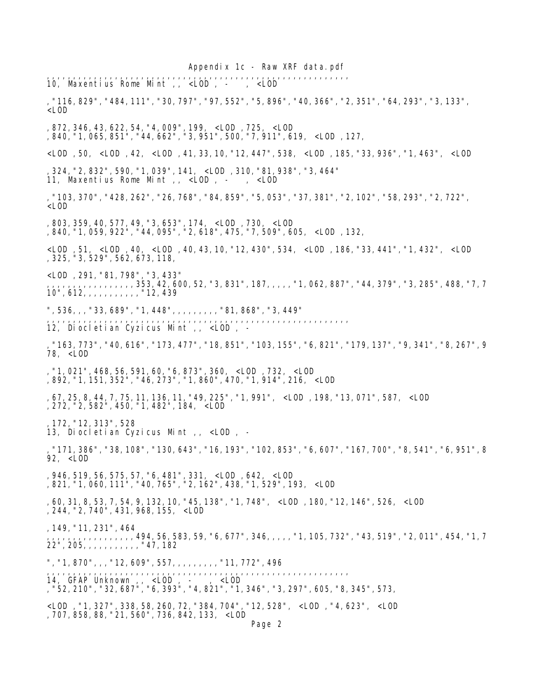Appendix 1c - Raw XRF data.pdf ,,,,,,,,,,,,,,,,,,,,,,,,,,,,,,,,,,,,,,,,,,,,,,,,,,,,,,,,,, 10, Maxentius Rome Mint , <LOD , -,"116,829","484,111","30,797","97,552","5,896","40,366","2,351","64,293","3,133",  $<$ LOD ,872,346,43,622,54,"4,009",199, <LOD ,725, <LOD ,840,"1,065,851","44,662","3,951",500,"7,911",619, <LOD ,127, <LOD ,50, <LOD ,42, <LOD ,41,33,10,"12,447",538, <LOD ,185,"33,936","1,463", <LOD ,324,"2,832",590,"1,039",141, <LOD ,310,"81,938","3,464" 11, Maxentius Rome Mint ,, <LOD , - , <LOD ,"103,370","428,262","26,768","84,859","5,053","37,381","2,102","58,293","2,722", <LOD ,803,359,40,577,49,"3,653",174, <LOD ,730, <LOD ,840,"1,059,922","44,095","2,618",475,"7,509",605, <LOD ,132, <LOD ,51, <LOD ,40, <LOD ,40,43,10,"12,430",534, <LOD ,186,"33,441","1,432", <LOD ,325,"3,529",562,673,118, <LOD ,291,"81,798","3,433" ,,,,,,,,,,,,,,,,,353,42,600,52,"3,831",187,,,,,"1,062,887","44,379","3,285",488,"7,7 10",612,,,,,,,,,,,"12,439 ", 536, , , "33, 689", "1, 448", , , , , , , , , , "81, 868", "3, 449" ,,,,,,,,,,,,,,,,,,,,,,,,,,,,,,,,,,,,,,,,,,,,,,,,,,,,,,,,,, 12, Diocletian Cyzicus Mint ,, <LOD , - ,"163,773","40,616","173,477","18,851","103,155","6,821","179,137","9,341","8,267",9 78, <LOD ,"1,021",468,56,591,60,"6,873",360, <LOD ,732, <LOD ,892,"1,151,352","46,273","1,860",470,"1,914",216, <LOD ,67,25,8,44,7,75,11,136,11,"49,225","1,991", <LOD ,198,"13,071",587, <LOD ,272,"2,582",450,"1,482",184, <LOD ,172,"12,313",528 13, Diocletian Cyzicus Mint ,, <LOD , - ,"171,386","38,108","130,643","16,193","102,853","6,607","167,700","8,541","6,951",8 92, <LOD ,946,519,56,575,57,"6,481",331, <LOD ,642, <LOD ,821,"1,060,111","40,765","2,162",438,"1,529",193, <LOD ,60,31,8,53,7,54,9,132,10,"45,138","1,748", <LOD ,180,"12,146",526, <LOD ,244,"2,740",431,968,155, <LOD ,149,"11,231",464 ,,,,,,,,,,,,,,,,,494,56,583,59,"6,677",346,,,,,"1,105,732","43,519","2,011",454,"1,7 22",205,,,,,,,,,,,"47,182 ", "1, 870", , , "12, 609", 557, , , , , , , , , "11, 772", 496 ,,,,,,,,,,,,,,,,,,,,,,,,,,,,,,,,,,,,,,,,,,,,,,,,,,,,,,,,,, 14, GFAP Unknown ,, <LOD , - , <LOD ,"52,210","32,687","6,393","4,821","1,346","3,297",605,"8,345",573, <LOD ,"1,327",338,58,260,72,"384,704","12,528", <LOD ,"4,623", <LOD ,707,858,88,"21,560",736,842,133, <LOD Page 2